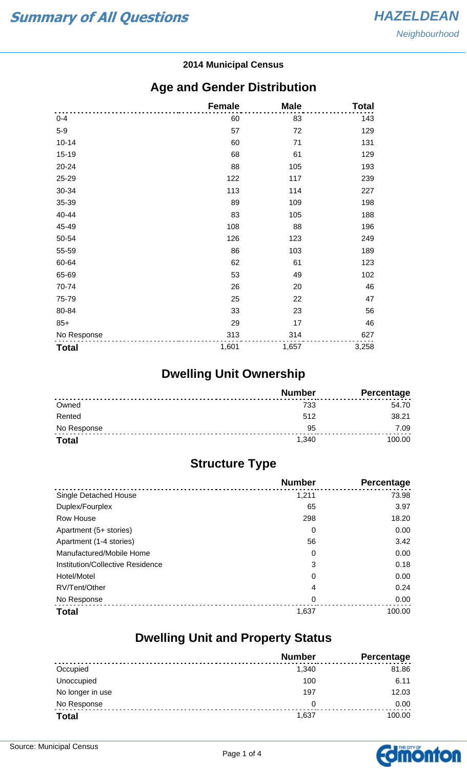#### **2014 Municipal Census**

#### **Age and Gender Distribution**

|              | <b>Female</b> | <b>Male</b> | <b>Total</b> |
|--------------|---------------|-------------|--------------|
| $0 - 4$      | 60            | 83          | 143          |
| $5-9$        | 57            | 72          | 129          |
| $10 - 14$    | 60            | 71          | 131          |
| 15-19        | 68            | 61          | 129          |
| 20-24        | 88            | 105         | 193          |
| 25-29        | 122           | 117         | 239          |
| 30-34        | 113           | 114         | 227          |
| 35-39        | 89            | 109         | 198          |
| 40-44        | 83            | 105         | 188          |
| 45-49        | 108           | 88          | 196          |
| 50-54        | 126           | 123         | 249          |
| 55-59        | 86            | 103         | 189          |
| 60-64        | 62            | 61          | 123          |
| 65-69        | 53            | 49          | 102          |
| 70-74        | 26            | 20          | 46           |
| 75-79        | 25            | 22          | 47           |
| 80-84        | 33            | 23          | 56           |
| $85+$        | 29            | 17          | 46           |
| No Response  | 313           | 314         | 627          |
| <b>Total</b> | 1,601         | 1,657       | 3,258        |

## **Dwelling Unit Ownership**

|              | <b>Number</b> | <b>Percentage</b> |
|--------------|---------------|-------------------|
| Owned        | 733           | 54.70             |
| Rented       | 512           | 38.21             |
| No Response  | 95            | 7.09              |
| <b>Total</b> | 1.340         | 100.00            |

## **Structure Type**

|                                  | <b>Number</b> | Percentage |
|----------------------------------|---------------|------------|
| Single Detached House            | 1,211         | 73.98      |
| Duplex/Fourplex                  | 65            | 3.97       |
| Row House                        | 298           | 18.20      |
| Apartment (5+ stories)           | 0             | 0.00       |
| Apartment (1-4 stories)          | 56            | 3.42       |
| Manufactured/Mobile Home         | 0             | 0.00       |
| Institution/Collective Residence | 3             | 0.18       |
| Hotel/Motel                      | 0             | 0.00       |
| RV/Tent/Other                    | 4             | 0.24       |
| No Response                      | 0             | 0.00       |
| <b>Total</b>                     | 1,637         | 100.00     |

#### **Dwelling Unit and Property Status**

|                  | <b>Number</b> | <b>Percentage</b> |
|------------------|---------------|-------------------|
| Occupied         | 1,340         | 81.86             |
| Unoccupied       | 100           | 6.11              |
| No longer in use | 197           | 12.03             |
| No Response      | 0             | 0.00              |
| <b>Total</b>     | 1,637         | 100.00            |

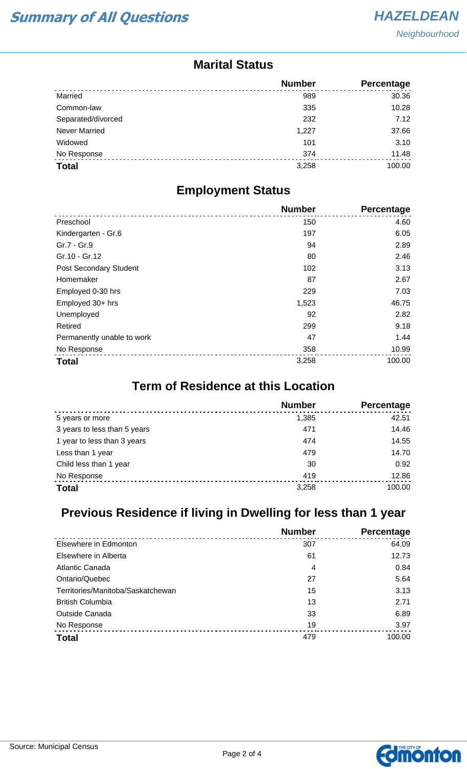#### **Marital Status**

|                      | <b>Number</b> | Percentage |
|----------------------|---------------|------------|
| Married              | 989           | 30.36      |
| Common-law           | 335           | 10.28      |
| Separated/divorced   | 232           | 7.12       |
| <b>Never Married</b> | 1,227         | 37.66      |
| Widowed              | 101           | 3.10       |
| No Response          | 374           | 11.48      |
| <b>Total</b>         | 3,258         | 100.00     |

#### **Employment Status**

|                            | <b>Number</b> | <b>Percentage</b> |
|----------------------------|---------------|-------------------|
| Preschool                  | 150           | 4.60              |
| Kindergarten - Gr.6        | 197           | 6.05              |
| Gr.7 - Gr.9                | 94            | 2.89              |
| Gr.10 - Gr.12              | 80            | 2.46              |
| Post Secondary Student     | 102           | 3.13              |
| Homemaker                  | 87            | 2.67              |
| Employed 0-30 hrs          | 229           | 7.03              |
| Employed 30+ hrs           | 1,523         | 46.75             |
| Unemployed                 | 92            | 2.82              |
| Retired                    | 299           | 9.18              |
| Permanently unable to work | 47            | 1.44              |
| No Response                | 358           | 10.99             |
| <b>Total</b>               | 3,258         | 100.00            |

### **Term of Residence at this Location**

|                              | <b>Number</b> | Percentage |
|------------------------------|---------------|------------|
| 5 years or more              | 1.385         | 42.51      |
| 3 years to less than 5 years | 471           | 14.46      |
| 1 year to less than 3 years  | 474           | 14.55      |
| Less than 1 year             | 479           | 14.70      |
| Child less than 1 year       | 30            | 0.92       |
| No Response                  | 419           | 12.86      |
| <b>Total</b>                 | 3,258         | 100.00     |

## **Previous Residence if living in Dwelling for less than 1 year**

|                                   | <b>Number</b> | Percentage |
|-----------------------------------|---------------|------------|
| Elsewhere in Edmonton             | 307           | 64.09      |
| Elsewhere in Alberta              | 61            | 12.73      |
| Atlantic Canada                   | 4             | 0.84       |
| Ontario/Quebec                    | 27            | 5.64       |
| Territories/Manitoba/Saskatchewan | 15            | 3.13       |
| <b>British Columbia</b>           | 13            | 2.71       |
| <b>Outside Canada</b>             | 33            | 6.89       |
| No Response                       | 19            | 3.97       |
| <b>Total</b>                      | 479           | 100.00     |

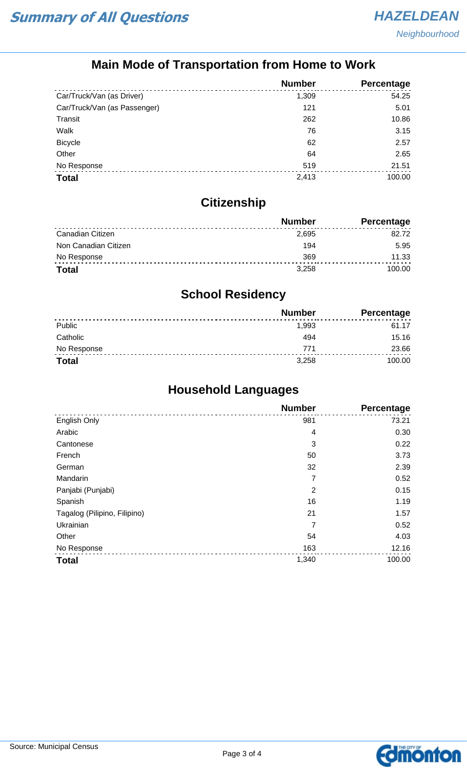## **Main Mode of Transportation from Home to Work**

|                              | <b>Number</b> | Percentage |
|------------------------------|---------------|------------|
| Car/Truck/Van (as Driver)    | 1,309         | 54.25      |
| Car/Truck/Van (as Passenger) | 121           | 5.01       |
| Transit                      | 262           | 10.86      |
| Walk                         | 76            | 3.15       |
| <b>Bicycle</b>               | 62            | 2.57       |
| Other                        | 64            | 2.65       |
| No Response                  | 519           | 21.51      |
| <b>Total</b>                 | 2,413         | 100.00     |

## **Citizenship**

|                      | <b>Number</b> | Percentage |
|----------------------|---------------|------------|
| Canadian Citizen     | 2,695         | 82.72      |
| Non Canadian Citizen | 194           | 5.95       |
| No Response          | 369           | 11.33      |
| <b>Total</b>         | 3.258         | 100.00     |

## **School Residency**

|              | <b>Number</b> | <b>Percentage</b> |
|--------------|---------------|-------------------|
| Public       | 1,993         | 61.17             |
| Catholic     | 494           | 15.16             |
| No Response  | 771           | 23.66             |
| <b>Total</b> | 3,258         | 100.00            |

## **Household Languages**

|                              | <b>Number</b>  | <b>Percentage</b> |
|------------------------------|----------------|-------------------|
| English Only                 | 981            | 73.21             |
| Arabic                       | 4              | 0.30              |
| Cantonese                    | 3              | 0.22              |
| French                       | 50             | 3.73              |
| German                       | 32             | 2.39              |
| Mandarin                     | 7              | 0.52              |
| Panjabi (Punjabi)            | $\overline{2}$ | 0.15              |
| Spanish                      | 16             | 1.19              |
| Tagalog (Pilipino, Filipino) | 21             | 1.57              |
| Ukrainian                    | 7              | 0.52              |
| Other                        | 54             | 4.03              |
| No Response                  | 163            | 12.16             |
| <b>Total</b>                 | 1,340          | 100.00            |